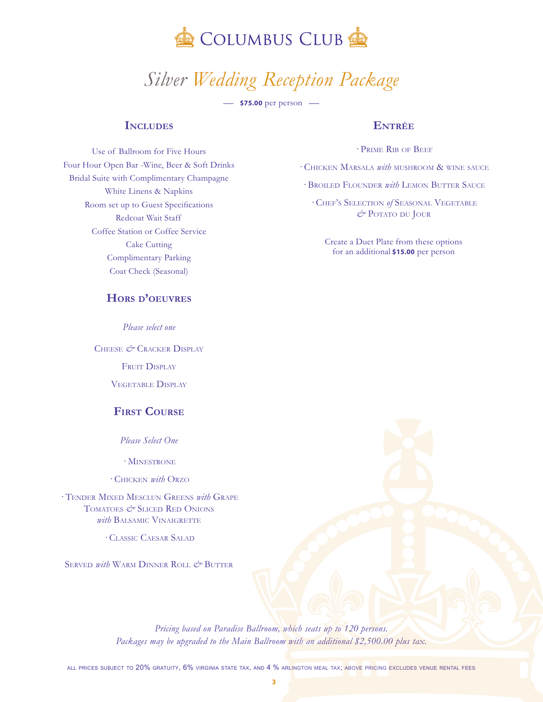

# *<sup>S</sup>ilver Wedding Reception Package*

 $\frac{1}{2}$  **\$75.00** per person  $\frac{1}{2}$ 

## **Includes**

Use of Ballroom for Five Hours Four Hour Open Bar -Wine, Beer & Soft Drinks Bridal Suite with Complimentary Champagne White Linens & Napkins Room set up to Guest Specifications Redcoat Wait Staff Coffee Station or Coffee Service Cake Cutting Complimentary Parking Coat Check (Seasonal)

## **Hors d'oeuvres**

*Please select one*

Cheese *&* Cracker Display FRUIT DISPLAY Vegetable Display

## **First Course**

*Please Select One*

· Minestrone

· Chicken *with* Orzo

· Tender Mixed Mesclun Greens *with* Grape Tomatoes *&* Sliced Red Onions *with* BALSAMIC VINAIGRETTE

· Classic Caesar Salad

Served *with* Warm Dinner Roll *&* Butter

#### **Entrée**

· Prime Rib of Beef

· Chicken Marsala *with* mushroom & wine sauce

· Broiled Flounder *with* Lemon Butter Sauce

· Chef's Selection *of* Seasonal Vegetable  $\mathcal{O}$ Potato du Jour

Create a Duet Plate from these options for an additional **\$15.00** per person

*Pricing based on Paradise Ballroom, which seats up to 120 persons.*  Packages may be upgraded to the Main Ballroom with an additional \$2,500.00 plus tax.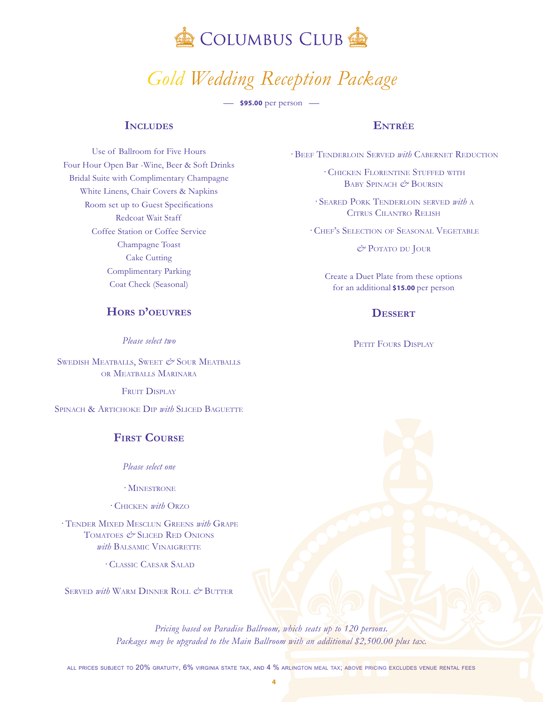

## *<sup>G</sup>old Wedding Reception Package*

 $\frac{1}{2}$  \$95.00 per person  $\frac{1}{2}$ 

## **Includes**

**Entrée**

· Beef Tenderloin Served *with* Cabernet Reduction

· Chicken Florentine Stuffed with BABY SPINACH  $\cancel{e^{\prime}}$  BOURSIN

· Seared Pork Tenderloin served *with* <sup>a</sup> Citrus Cilantro Relish

· Chef's Selection of Seasonal Vegetable

 $\mathcal{O}$ Potato du Jour

Create a Duet Plate from these options for an additional **\$15.00** per person

## **Dessert**

PETIT FOURS DISPLAY

Use of Ballroom for Five Hours Four Hour Open Bar -Wine, Beer & Soft Drinks Bridal Suite with Complimentary Champagne White Linens, Chair Covers & Napkins Room set up to Guest Specifications Redcoat Wait Staff Coffee Station or Coffee Service Champagne Toast Cake Cutting Complimentary Parking Coat Check (Seasonal)

## **Hors d'oeuvres**

*Please select two*

SWEDISH MEATBALLS, SWEET  $\mathcal{O}$  Sour MeatBalls or Meatballs Marinara

FRUIT DISPLAY

SPINACH & ARTICHOKE DIP *with* SLICED BAGUETTE

## **First Course**

*Please select one*

· Minestrone

· Chicken *with* Orzo

· Tender Mixed Mesclun Greens *with* Grape Tomatoes *&* Sliced Red Onions *with* BALSAMIC VINAIGRETTE

· Classic Caesar Salad

SERVED *with* WARM DINNER ROLL  $\vec{e}$  Butter

*Pricing based on Paradise Ballroom, which seats up to 120 persons.*  Packages may be upgraded to the Main Ballroom with an additional \$2,500.00 plus tax.

all prices subject to 20% gratuity, 6% virginia state tax, and 4 % arlington meal tax; above pricing excludes venue rental fees